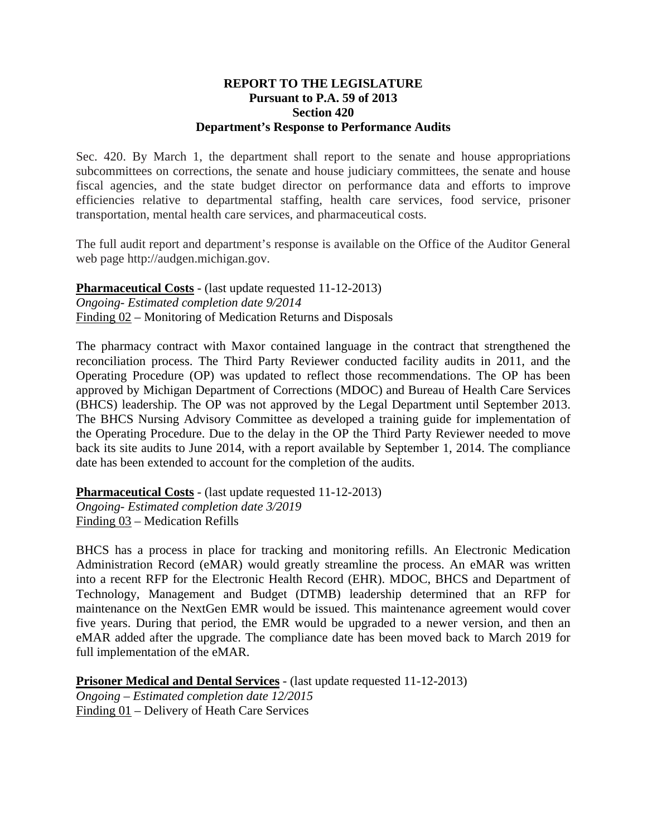## **REPORT TO THE LEGISLATURE Pursuant to P.A. 59 of 2013 Section 420 Department's Response to Performance Audits**

Sec. 420. By March 1, the department shall report to the senate and house appropriations subcommittees on corrections, the senate and house judiciary committees, the senate and house fiscal agencies, and the state budget director on performance data and efforts to improve efficiencies relative to departmental staffing, health care services, food service, prisoner transportation, mental health care services, and pharmaceutical costs.

The full audit report and department's response is available on the Office of the Auditor General web page http://audgen.michigan.gov.

**Pharmaceutical Costs** - (last update requested 11-12-2013) *Ongoing- Estimated completion date 9/2014*  Finding 02 – Monitoring of Medication Returns and Disposals

The pharmacy contract with Maxor contained language in the contract that strengthened the reconciliation process. The Third Party Reviewer conducted facility audits in 2011, and the Operating Procedure (OP) was updated to reflect those recommendations. The OP has been approved by Michigan Department of Corrections (MDOC) and Bureau of Health Care Services (BHCS) leadership. The OP was not approved by the Legal Department until September 2013. The BHCS Nursing Advisory Committee as developed a training guide for implementation of the Operating Procedure. Due to the delay in the OP the Third Party Reviewer needed to move back its site audits to June 2014, with a report available by September 1, 2014. The compliance date has been extended to account for the completion of the audits.

**Pharmaceutical Costs** - (last update requested 11-12-2013) *Ongoing- Estimated completion date 3/2019*  Finding 03 – Medication Refills

BHCS has a process in place for tracking and monitoring refills. An Electronic Medication Administration Record (eMAR) would greatly streamline the process. An eMAR was written into a recent RFP for the Electronic Health Record (EHR). MDOC, BHCS and Department of Technology, Management and Budget (DTMB) leadership determined that an RFP for maintenance on the NextGen EMR would be issued. This maintenance agreement would cover five years. During that period, the EMR would be upgraded to a newer version, and then an eMAR added after the upgrade. The compliance date has been moved back to March 2019 for full implementation of the eMAR.

**Prisoner Medical and Dental Services** - (last update requested 11-12-2013) *Ongoing – Estimated completion date 12/2015*  Finding 01 – Delivery of Heath Care Services